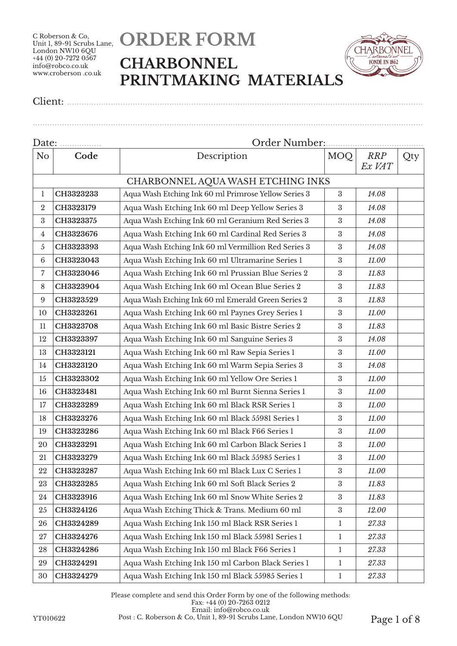# **ORDER FORM CHARBONNEL PRINTMAKING MATERIALS**

................................................................................................................................................................



Client: ..................................................................................................................................................

| Date:            |                                   | Order Number:                                        |                  |                      |     |  |
|------------------|-----------------------------------|------------------------------------------------------|------------------|----------------------|-----|--|
| N <sub>o</sub>   | Code                              | Description                                          | MOQ              | <b>RRP</b><br>Ex VAT | Qty |  |
|                  | CHARBONNEL AQUA WASH ETCHING INKS |                                                      |                  |                      |     |  |
| $\mathbf{1}$     | CH3323233                         | Aqua Wash Etching Ink 60 ml Primrose Yellow Series 3 | $\boldsymbol{3}$ | 14.08                |     |  |
| $\overline{2}$   | CH3323179                         | Aqua Wash Etching Ink 60 ml Deep Yellow Series 3     | 3                | 14.08                |     |  |
| 3                | CH3323375                         | Aqua Wash Etching Ink 60 ml Geranium Red Series 3    | 3                | 14.08                |     |  |
| 4                | CH3323676                         | Aqua Wash Etching Ink 60 ml Cardinal Red Series 3    | 3                | 14.08                |     |  |
| 5                | CH3323393                         | Aqua Wash Etching Ink 60 ml Vermillion Red Series 3  | $\boldsymbol{3}$ | 14.08                |     |  |
| $\,6\,$          | CH3323043                         | Aqua Wash Etching Ink 60 ml Ultramarine Series 1     | 3                | 11.00                |     |  |
| 7                | CH3323046                         | Aqua Wash Etching Ink 60 ml Prussian Blue Series 2   | 3                | 11.83                |     |  |
| 8                | CH3323904                         | Aqua Wash Etching Ink 60 ml Ocean Blue Series 2      | 3                | 11.83                |     |  |
| $\boldsymbol{9}$ | CH3323529                         | Aqua Wash Etching Ink 60 ml Emerald Green Series 2   | 3                | 11.83                |     |  |
| 10               | CH3323261                         | Aqua Wash Etching Ink 60 ml Paynes Grey Series 1     | 3                | 11.00                |     |  |
| 11               | CH3323708                         | Aqua Wash Etching Ink 60 ml Basic Bistre Series 2    | 3                | 11.83                |     |  |
| 12               | CH3323397                         | Aqua Wash Etching Ink 60 ml Sanguine Series 3        | $\boldsymbol{3}$ | 14.08                |     |  |
| 13               | CH3323121                         | Aqua Wash Etching Ink 60 ml Raw Sepia Series 1       | 3                | 11.00                |     |  |
| 14               | CH3323120                         | Aqua Wash Etching Ink 60 ml Warm Sepia Series 3      | 3                | 14.08                |     |  |
| 15               | CH3323302                         | Aqua Wash Etching Ink 60 ml Yellow Ore Series 1      | 3                | 11.00                |     |  |
| 16               | CH3323481                         | Aqua Wash Etching Ink 60 ml Burnt Sienna Series 1    | $\boldsymbol{3}$ | 11.00                |     |  |
| 17               | CH3323289                         | Aqua Wash Etching Ink 60 ml Black RSR Series 1       | 3                | 11.00                |     |  |
| 18               | CH3323276                         | Aqua Wash Etching Ink 60 ml Black 55981 Series 1     | 3                | 11.00                |     |  |
| 19               | CH3323286                         | Aqua Wash Etching Ink 60 ml Black F66 Series 1       | 3                | 11.00                |     |  |
| 20               | CH3323291                         | Aqua Wash Etching Ink 60 ml Carbon Black Series 1    | 3                | 11.00                |     |  |
| 21               | CH3323279                         | Aqua Wash Etching Ink 60 ml Black 55985 Series 1     | 3                | 11.00                |     |  |
| 22               | CH3323287                         | Aqua Wash Etching Ink 60 ml Black Lux C Series 1     | $\rm 3$          | 11.00                |     |  |
| 23               | CH3323285                         | Aqua Wash Etching Ink 60 ml Soft Black Series 2      | 3                | 11.83                |     |  |
| 24               | CH3323916                         | Aqua Wash Etching Ink 60 ml Snow White Series 2      | 3                | 11.83                |     |  |
| 25               | CH3324126                         | Aqua Wash Etching Thick & Trans. Medium 60 ml        | $\boldsymbol{3}$ | 12.00                |     |  |
| 26               | CH3324289                         | Aqua Wash Etching Ink 150 ml Black RSR Series 1      | 1                | 27.33                |     |  |
| 27               | CH3324276                         | Aqua Wash Etching Ink 150 ml Black 55981 Series 1    | 1                | 27.33                |     |  |
| 28               | CH3324286                         | Aqua Wash Etching Ink 150 ml Black F66 Series 1      | 1                | 27.33                |     |  |
| 29               | CH3324291                         | Aqua Wash Etching Ink 150 ml Carbon Black Series 1   | 1                | 27.33                |     |  |
| 30               | CH3324279                         | Aqua Wash Etching Ink 150 ml Black 55985 Series 1    | $\mathbf{1}$     | 27.33                |     |  |

Please complete and send this Order Form by one of the following methods: Fax: +44 (0) 20-7263 0212 Email: info@robco.co.uk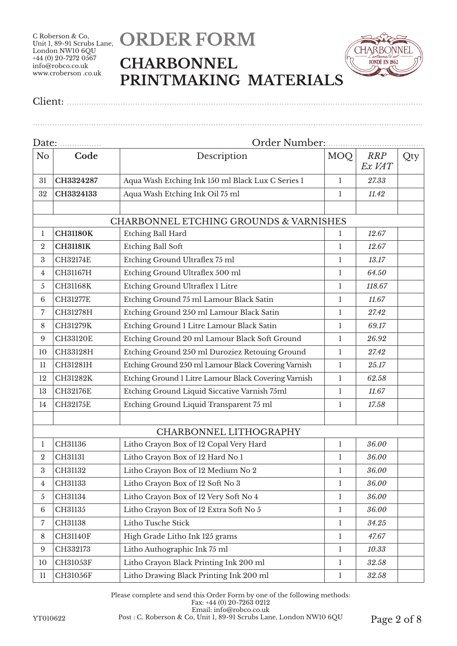## **ORDER FORM CHARBONNEL PRINTMAKING MATERIALS**

................................................................................................................................................................



Client: ..................................................................................................................................................

| Date:            |                 |                                                      |              |                      |     |  |  |
|------------------|-----------------|------------------------------------------------------|--------------|----------------------|-----|--|--|
| N <sub>o</sub>   | Code            | Description                                          | <b>MOQ</b>   | <b>RRP</b><br>Ex VAT | Qty |  |  |
| 31               | CH3324287       | Aqua Wash Etching Ink 150 ml Black Lux C Series 1    | 1            | 27.33                |     |  |  |
| 32               | CH3324133       | Aqua Wash Etching Ink Oil 75 ml                      | 1            | 11.42                |     |  |  |
|                  |                 | CHARBONNEL ETCHING GROUNDS & VARNISHES               |              |                      |     |  |  |
| 1                | <b>CH31180K</b> | <b>Etching Ball Hard</b>                             | 1            | 12.67                |     |  |  |
| $\boldsymbol{2}$ | <b>CH31181K</b> | <b>Etching Ball Soft</b>                             | 1            | 12.67                |     |  |  |
| 3                | <b>CH32174E</b> | Etching Ground Ultraflex 75 ml                       | 1            | 13.17                |     |  |  |
| 4                | CH31167H        | Etching Ground Ultraflex 500 ml                      | 1            | 64.50                |     |  |  |
| 5                | <b>CH31168K</b> | Etching Ground Ultraflex 1 Litre                     | 1            | 118.67               |     |  |  |
| 6                | <b>CH31277E</b> | Etching Ground 75 ml Lamour Black Satin              | 1            | 11.67                |     |  |  |
| 7                | CH31278H        | Etching Ground 250 ml Lamour Black Satin             | 1            | 27.42                |     |  |  |
| 8                | CH31279K        | Etching Ground 1 Litre Lamour Black Satin            | 1            | 69.17                |     |  |  |
| 9                | <b>CH33120E</b> | Etching Ground 20 ml Lamour Black Soft Ground        | 1            | 26.92                |     |  |  |
| 10               | CH33128H        | Etching Ground 250 ml Duroziez Retouing Ground       | 1            | 27.42                |     |  |  |
| 11               | CH31281H        | Etching Ground 250 ml Lamour Black Covering Varnish  | $\mathbf{1}$ | 25.17                |     |  |  |
| 12               | CH31282K        | Etching Ground 1 Litre Lamour Black Covering Varnish | 1            | 62.58                |     |  |  |
| 13               | <b>CH32176E</b> | Etching Ground Liquid Siccative Varnish 75ml         | 1            | 11.67                |     |  |  |
| 14               | <b>CH32175E</b> | Etching Ground Liquid Transparent 75 ml              | 1            | 17.58                |     |  |  |
|                  |                 | CHARBONNEL LITHOGRAPHY                               |              |                      |     |  |  |
| 1                | CH31136         | Litho Crayon Box of 12 Copal Very Hard               | 1            | 36.00                |     |  |  |
| $\overline{2}$   | CH31131         | Litho Crayon Box of 12 Hard No 1                     | 1            | 36.00                |     |  |  |
| 3                | CH31132         | Litho Crayon Box of 12 Medium No 2                   | 1            | 36.00                |     |  |  |
| 4                | CH31133         | Litho Crayon Box of 12 Soft No 3                     | 1            | 36.00                |     |  |  |
| 5                | CH31134         | Litho Crayon Box of 12 Very Soft No 4                | 1            | 36.00                |     |  |  |
| $\,6\,$          | CH31135         | Litho Crayon Box of 12 Extra Soft No 5               | 1            | 36.00                |     |  |  |
| 7                | CH31138         | Litho Tusche Stick                                   | 1            | 34.25                |     |  |  |
| $\,8\,$          | <b>CH31140F</b> | High Grade Litho Ink 125 grams                       | 1            | 47.67                |     |  |  |
| 9                | CH332173        | Litho Authographic Ink 75 ml                         | $\mathbf{1}$ | 10.33                |     |  |  |
| 10               | CH31053F        | Litho Crayon Black Printing Ink 200 ml               | 1            | 32.58                |     |  |  |
| $11\phantom{.0}$ | CH31056F        | Litho Drawing Black Printing Ink 200 ml              | $\mathbf 1$  | 32.58                |     |  |  |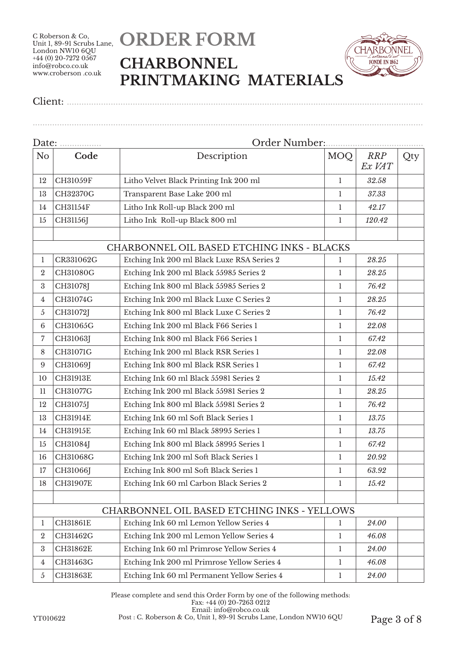# **ORDER FORM CHARBONNEL PRINTMAKING MATERIALS**

................................................................................................................................................................



Client: ..................................................................................................................................................

| Date:            |                 |                                             |              |                      |     |  |  |
|------------------|-----------------|---------------------------------------------|--------------|----------------------|-----|--|--|
| No               | Code            | Description                                 | <b>MOQ</b>   | <b>RRP</b><br>Ex VAT | Qty |  |  |
| 12               | CH31059F        | Litho Velvet Black Printing Ink 200 ml      | -1           | 32.58                |     |  |  |
| 13               | CH32370G        | Transparent Base Lake 200 ml                | 1            | 37.33                |     |  |  |
| 14               | CH31154F        | Litho Ink Roll-up Black 200 ml              | 1            | 42.17                |     |  |  |
| 15               | CH31156J        | Litho Ink Roll-up Black 800 ml              | 1            | 120.42               |     |  |  |
|                  |                 | CHARBONNEL OIL BASED ETCHING INKS - BLACKS  |              |                      |     |  |  |
| 1                | CR331062G       | Etching Ink 200 ml Black Luxe RSA Series 2  | 1            | 28.25                |     |  |  |
| $\overline{2}$   | CH31080G        | Etching Ink 200 ml Black 55985 Series 2     | $\mathbf{1}$ | 28.25                |     |  |  |
| 3                | CH31078J        | Etching Ink 800 ml Black 55985 Series 2     | 1            | 76.42                |     |  |  |
| $\overline{4}$   | CH31074G        | Etching Ink 200 ml Black Luxe C Series 2    | 1            | 28.25                |     |  |  |
| 5                | CH31072J        | Etching Ink 800 ml Black Luxe C Series 2    | 1            | 76.42                |     |  |  |
| 6                | CH31065G        | Etching Ink 200 ml Black F66 Series 1       | 1            | 22.08                |     |  |  |
| $\overline{7}$   | CH31063J        | Etching Ink 800 ml Black F66 Series 1       | 1            | 67.42                |     |  |  |
| 8                | CH31071G        | Etching Ink 200 ml Black RSR Series 1       | 1            | 22.08                |     |  |  |
| 9                | CH31069J        | Etching Ink 800 ml Black RSR Series 1       | $\mathbf{1}$ | 67.42                |     |  |  |
| 10               | CH31913E        | Etching Ink 60 ml Black 55981 Series 2      | 1            | 15.42                |     |  |  |
| 11               | CH31077G        | Etching Ink 200 ml Black 55981 Series 2     | 1            | 28.25                |     |  |  |
| 12               | CH31075J        | Etching Ink 800 ml Black 55981 Series 2     | 1            | 76.42                |     |  |  |
| 13               | CH31914E        | Etching Ink 60 ml Soft Black Series 1       | 1            | 13.75                |     |  |  |
| 14               | CH31915E        | Etching Ink 60 ml Black 58995 Series 1      | 1            | 13.75                |     |  |  |
| 15               | CH31084J        | Etching Ink 800 ml Black 58995 Series 1     | 1            | 67.42                |     |  |  |
| 16               | CH31068G        | Etching Ink 200 ml Soft Black Series 1      | 1            | 20.92                |     |  |  |
| 17               | CH31066J        | Etching Ink 800 ml Soft Black Series 1      | 1            | 63.92                |     |  |  |
| 18               | CH31907E        | Etching Ink 60 ml Carbon Black Series 2     | 1            | 15.42                |     |  |  |
|                  |                 | CHARBONNEL OIL BASED ETCHING INKS - YELLOWS |              |                      |     |  |  |
| 1                | <b>CH31861E</b> | Etching Ink 60 ml Lemon Yellow Series 4     | 1            | 24.00                |     |  |  |
| $\boldsymbol{2}$ | CH31462G        | Etching Ink 200 ml Lemon Yellow Series 4    | 1            | 46.08                |     |  |  |
| $\sqrt{3}$       | CH31862E        | Etching Ink 60 ml Primrose Yellow Series 4  | $\mathbf{1}$ | 24.00                |     |  |  |
| $\overline{4}$   | CH31463G        | Etching Ink 200 ml Primrose Yellow Series 4 | 1            | 46.08                |     |  |  |
| $\sqrt{5}$       | CH31863E        | Etching Ink 60 ml Permanent Yellow Series 4 | 1            | 24.00                |     |  |  |

Please complete and send this Order Form by one of the following methods: Fax: +44 (0) 20-7263 0212 Email: info@robco.co.uk

YT010622 Post : C. Roberson & Co, Unit 1, 89-91 Scrubs Lane, London NW10 6QU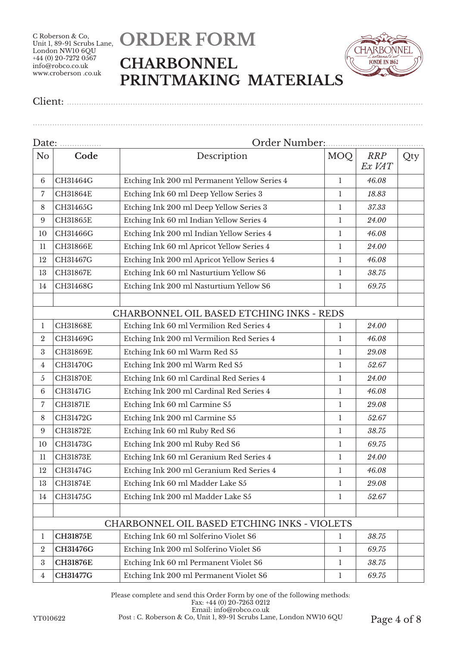# **ORDER FORM CHARBONNEL PRINTMAKING MATERIALS**

................................................................................................................................................................



Client: ..................................................................................................................................................

| Date:            |                 |                                              |              |                      |     |  |
|------------------|-----------------|----------------------------------------------|--------------|----------------------|-----|--|
| N <sub>o</sub>   | Code            | Description                                  | <b>MOQ</b>   | <b>RRP</b><br>Ex VAT | Qty |  |
| 6                | CH31464G        | Etching Ink 200 ml Permanent Yellow Series 4 | 1            | 46.08                |     |  |
| 7                | CH31864E        | Etching Ink 60 ml Deep Yellow Series 3       | 1            | 18.83                |     |  |
| 8                | CH31465G        | Etching Ink 200 ml Deep Yellow Series 3      | 1            | 37.33                |     |  |
| 9                | CH31865E        | Etching Ink 60 ml Indian Yellow Series 4     | 1            | 24.00                |     |  |
| 10               | CH31466G        | Etching Ink 200 ml Indian Yellow Series 4    | 1            | 46.08                |     |  |
| 11               | CH31866E        | Etching Ink 60 ml Apricot Yellow Series 4    | 1            | 24.00                |     |  |
| 12               | CH31467G        | Etching Ink 200 ml Apricot Yellow Series 4   | 1            | 46.08                |     |  |
| 13               | CH31867E        | Etching Ink 60 ml Nasturtium Yellow S6       | $\mathbf{1}$ | 38.75                |     |  |
| 14               | CH31468G        | Etching Ink 200 ml Nasturtium Yellow S6      | 1            | 69.75                |     |  |
|                  |                 |                                              |              |                      |     |  |
|                  |                 | CHARBONNEL OIL BASED ETCHING INKS - REDS     |              |                      |     |  |
| 1                | <b>CH31868E</b> | Etching Ink 60 ml Vermilion Red Series 4     | 1            | 24.00                |     |  |
| $\boldsymbol{2}$ | CH31469G        | Etching Ink 200 ml Vermilion Red Series 4    | 1            | 46.08                |     |  |
| $\boldsymbol{3}$ | CH31869E        | Etching Ink 60 ml Warm Red S5                | 1            | 29.08                |     |  |
| 4                | CH31470G        | Etching Ink 200 ml Warm Red S5               | $\mathbf{1}$ | 52.67                |     |  |
| 5                | <b>CH31870E</b> | Etching Ink 60 ml Cardinal Red Series 4      | 1            | 24.00                |     |  |
| 6                | CH31471G        | Etching Ink 200 ml Cardinal Red Series 4     | 1            | 46.08                |     |  |
| 7                | <b>CH31871E</b> | Etching Ink 60 ml Carmine S5                 | 1            | 29.08                |     |  |
| 8                | CH31472G        | Etching Ink 200 ml Carmine S5                | 1            | 52.67                |     |  |
| 9                | CH31872E        | Etching Ink 60 ml Ruby Red S6                | $\mathbf{1}$ | 38.75                |     |  |
| 10               | CH31473G        | Etching Ink 200 ml Ruby Red S6               | 1            | 69.75                |     |  |
| 11               | <b>CH31873E</b> | Etching Ink 60 ml Geranium Red Series 4      | 1            | 24.00                |     |  |
| 12               | CH31474G        | Etching Ink 200 ml Geranium Red Series 4     | 1            | 46.08                |     |  |
| 13               | CH31874E        | Etching Ink 60 ml Madder Lake S5             | 1            | 29.08                |     |  |
| 14               | CH31475G        | Etching Ink 200 ml Madder Lake S5            | 1            | 52.67                |     |  |
|                  |                 |                                              |              |                      |     |  |
|                  |                 | CHARBONNEL OIL BASED ETCHING INKS - VIOLETS  |              |                      |     |  |
| 1                | <b>CH31875E</b> | Etching Ink 60 ml Solferino Violet S6        | 1            | 38.75                |     |  |
| $\overline{2}$   | CH31476G        | Etching Ink 200 ml Solferino Violet S6       | 1            | 69.75                |     |  |
| $\rm 3$          | <b>CH31876E</b> | Etching Ink 60 ml Permanent Violet S6        | 1            | 38.75                |     |  |
| $\overline{4}$   | CH31477G        | Etching Ink 200 ml Permanent Violet S6       | 1            | 69.75                |     |  |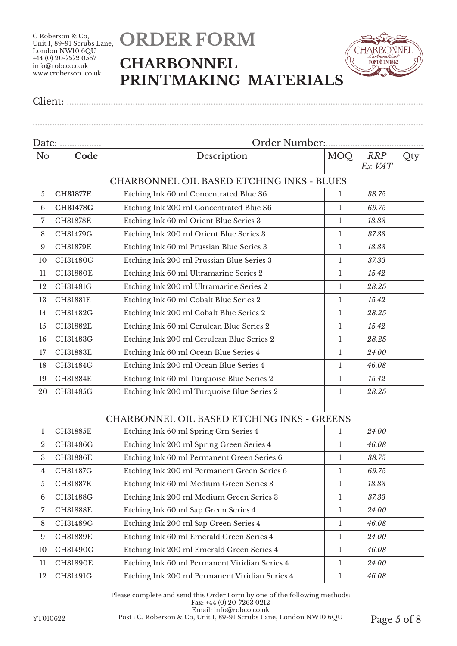# **ORDER FORM CHARBONNEL PRINTMAKING MATERIALS**

................................................................................................................................................................



Client: ..................................................................................................................................................

| Date:          |                 | Order Number:                                     |              |                      |     |  |  |
|----------------|-----------------|---------------------------------------------------|--------------|----------------------|-----|--|--|
| N <sub>o</sub> | Code            | Description                                       | MOQ          | <b>RRP</b><br>Ex VAT | Qty |  |  |
|                |                 | <b>CHARBONNEL OIL BASED ETCHING INKS - BLUES</b>  |              |                      |     |  |  |
| 5              | <b>CH31877E</b> | Etching Ink 60 ml Concentrated Blue S6            | 1            | 38.75                |     |  |  |
| 6              | <b>CH31478G</b> | Etching Ink 200 ml Concentrated Blue S6           | 1            | 69.75                |     |  |  |
| 7              | <b>CH31878E</b> | Etching Ink 60 ml Orient Blue Series 3            | 1            | 18.83                |     |  |  |
| 8              | CH31479G        | Etching Ink 200 ml Orient Blue Series 3           | 1            | 37.33                |     |  |  |
| 9              | <b>CH31879E</b> | Etching Ink 60 ml Prussian Blue Series 3          | $\mathbf{1}$ | 18.83                |     |  |  |
| 10             | CH31480G        | Etching Ink 200 ml Prussian Blue Series 3         | 1            | 37.33                |     |  |  |
| 11             | <b>CH31880E</b> | Etching Ink 60 ml Ultramarine Series 2            | 1            | 15.42                |     |  |  |
| 12             | CH31481G        | Etching Ink 200 ml Ultramarine Series 2           | 1            | 28.25                |     |  |  |
| 13             | <b>CH31881E</b> | Etching Ink 60 ml Cobalt Blue Series 2            | $\mathbf{1}$ | 15.42                |     |  |  |
| 14             | CH31482G        | Etching Ink 200 ml Cobalt Blue Series 2           | 1            | 28.25                |     |  |  |
| 15             | CH31882E        | Etching Ink 60 ml Cerulean Blue Series 2          | 1            | 15.42                |     |  |  |
| 16             | CH31483G        | Etching Ink 200 ml Cerulean Blue Series 2         | 1            | 28.25                |     |  |  |
| $17\,$         | CH31883E        | Etching Ink 60 ml Ocean Blue Series 4             | 1            | 24.00                |     |  |  |
| 18             | CH31484G        | Etching Ink 200 ml Ocean Blue Series 4            | 1            | 46.08                |     |  |  |
| 19             | CH31884E        | Etching Ink 60 ml Turquoise Blue Series 2         | 1            | 15.42                |     |  |  |
| 20             | CH31485G        | Etching Ink 200 ml Turquoise Blue Series 2        | 1            | 28.25                |     |  |  |
|                |                 |                                                   |              |                      |     |  |  |
|                |                 | <b>CHARBONNEL OIL BASED ETCHING INKS - GREENS</b> |              |                      |     |  |  |
| 1              | <b>CH31885E</b> | Etching Ink 60 ml Spring Grn Series 4             | 1            | 24.00                |     |  |  |
| $\overline{2}$ | CH31486G        | Etching Ink 200 ml Spring Green Series 4          | 1            | 46.08                |     |  |  |
| 3              | <b>CH31886E</b> | Etching Ink 60 ml Permanent Green Series 6        | 1            | 38.75                |     |  |  |
| 4              | CH31487G        | Etching Ink 200 ml Permanent Green Series 6       | 1            | 69.75                |     |  |  |
| $\sqrt{5}$     | <b>CH31887E</b> | Etching Ink 60 ml Medium Green Series 3           | $\mathbf{1}$ | 18.83                |     |  |  |
| 6              | CH31488G        | Etching Ink 200 ml Medium Green Series 3          | 1            | 37.33                |     |  |  |
| $\overline{7}$ | CH31888E        | Etching Ink 60 ml Sap Green Series 4              | 1            | 24.00                |     |  |  |
| $\,8\,$        | CH31489G        | Etching Ink 200 ml Sap Green Series 4             | 1            | 46.08                |     |  |  |
| 9              | CH31889E        | Etching Ink 60 ml Emerald Green Series 4          | $\mathbf{1}$ | 24.00                |     |  |  |
| 10             | CH31490G        | Etching Ink 200 ml Emerald Green Series 4         | $\mathbf{1}$ | 46.08                |     |  |  |
| 11             | <b>CH31890E</b> | Etching Ink 60 ml Permanent Viridian Series 4     | $\mathbf{1}$ | 24.00                |     |  |  |
| 12             | CH31491G        | Etching Ink 200 ml Permanent Viridian Series 4    | $\mathbf{1}$ | 46.08                |     |  |  |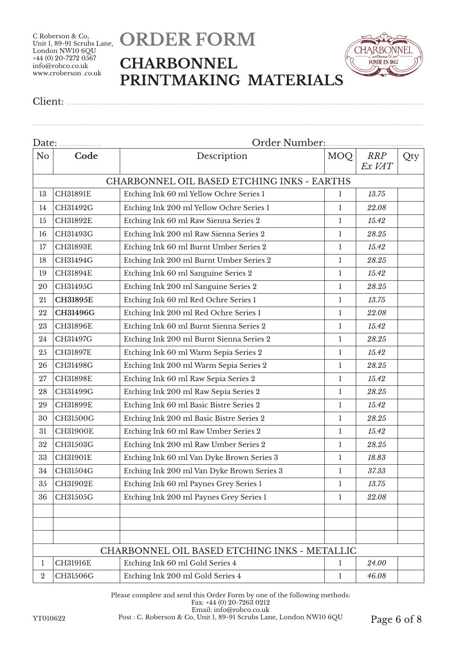# **ORDER FORM CHARBONNEL PRINTMAKING MATERIALS**

................................................................................................................................................................



Client: ..................................................................................................................................................

| Date:          |                 | Order Number:                                |              |                      |     |  |
|----------------|-----------------|----------------------------------------------|--------------|----------------------|-----|--|
| N <sub>o</sub> | Code            | Description                                  | MOQ          | <b>RRP</b><br>Ex VAT | Qty |  |
|                |                 | CHARBONNEL OIL BASED ETCHING INKS - EARTHS   |              |                      |     |  |
| 13             | CH31891E        | Etching Ink 60 ml Yellow Ochre Series 1      | 1            | 13.75                |     |  |
| 14             | CH31492G        | Etching Ink 200 ml Yellow Ochre Series 1     | 1            | 22.08                |     |  |
| 15             | CH31892E        | Etching Ink 60 ml Raw Sienna Series 2        | $\mathbf{1}$ | 15.42                |     |  |
| 16             | CH31493G        | Etching Ink 200 ml Raw Sienna Series 2       | 1            | 28.25                |     |  |
| 17             | CH31893E        | Etching Ink 60 ml Burnt Umber Series 2       | 1            | 15.42                |     |  |
| 18             | CH31494G        | Etching Ink 200 ml Burnt Umber Series 2      | 1            | 28.25                |     |  |
| 19             | CH31894E        | Etching Ink 60 ml Sanguine Series 2          | 1            | 15.42                |     |  |
| 20             | CH31495G        | Etching Ink 200 ml Sanguine Series 2         | 1            | 28.25                |     |  |
| 21             | <b>CH31895E</b> | Etching Ink 60 ml Red Ochre Series 1         | $\mathbf{1}$ | 13.75                |     |  |
| 22             | CH31496G        | Etching Ink 200 ml Red Ochre Series 1        | $\mathbf{1}$ | 22.08                |     |  |
| 23             | CH31896E        | Etching Ink 60 ml Burnt Sienna Series 2      | 1            | 15.42                |     |  |
| 24             | CH31497G        | Etching Ink 200 ml Burnt Sienna Series 2     | 1            | 28.25                |     |  |
| 25             | CH31897E        | Etching Ink 60 ml Warm Sepia Series 2        | 1            | 15.42                |     |  |
| 26             | CH31498G        | Etching Ink 200 ml Warm Sepia Series 2       | 1            | 28.25                |     |  |
| 27             | CH31898E        | Etching Ink 60 ml Raw Sepia Series 2         | $\mathbf{1}$ | 15.42                |     |  |
| 28             | CH31499G        | Etching Ink 200 ml Raw Sepia Series 2        | $\mathbf{1}$ | 28.25                |     |  |
| 29             | CH31899E        | Etching Ink 60 ml Basic Bistre Series 2      | $\mathbf{1}$ | 15.42                |     |  |
| 30             | CH31500G        | Etching Ink 200 ml Basic Bistre Series 2     | 1            | 28.25                |     |  |
| 31             | <b>CH31900E</b> | Etching Ink 60 ml Raw Umber Series 2         | 1            | 15.42                |     |  |
| 32             | CH31503G        | Etching Ink 200 ml Raw Umber Series 2        | 1            | 28.25                |     |  |
| 33             | CH31901E        | Etching Ink 60 ml Van Dyke Brown Series 3    | $\mathbf{1}$ | 18.83                |     |  |
| 34             | CH31504G        | Etching Ink 200 ml Van Dyke Brown Series 3   | 1            | 37.33                |     |  |
| 35             | CH31902E        | Etching Ink 60 ml Paynes Grey Series 1       | 1            | 13.75                |     |  |
| 36             | CH31505G        | Etching Ink 200 ml Paynes Grey Series 1      | 1            | 22.08                |     |  |
|                |                 |                                              |              |                      |     |  |
|                |                 |                                              |              |                      |     |  |
|                |                 | CHARBONNEL OIL BASED ETCHING INKS - METALLIC |              |                      |     |  |
| 1              | CH31916E        | Etching Ink 60 ml Gold Series 4              | 1            | 24.00                |     |  |
| $\overline{2}$ | CH31506G        | Etching Ink 200 ml Gold Series 4             | $\mathbf{1}$ | 46.08                |     |  |

Please complete and send this Order Form by one of the following methods: Fax: +44 (0) 20-7263 0212 Email: info@robco.co.uk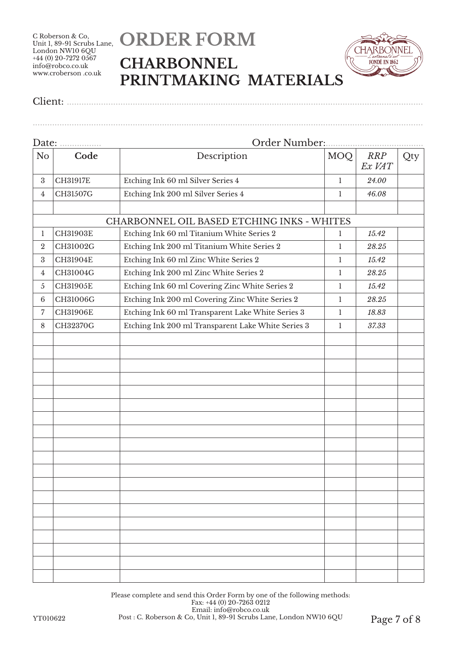## **ORDER FORM CHARBONNEL PRINTMAKING MATERIALS**

................................................................................................................................................................



Client: ..................................................................................................................................................

| Date:            |                 | Order Number:                                      |              |                      |     |  |
|------------------|-----------------|----------------------------------------------------|--------------|----------------------|-----|--|
| N <sub>o</sub>   | Code            | Description                                        | <b>MOQ</b>   | <b>RRP</b><br>Ex VAT | Qty |  |
| $\boldsymbol{3}$ | <b>CH31917E</b> | Etching Ink 60 ml Silver Series 4                  | 1            | 24.00                |     |  |
| 4                | CH31507G        | Etching Ink 200 ml Silver Series 4                 | 1            | 46.08                |     |  |
|                  |                 |                                                    |              |                      |     |  |
|                  |                 | CHARBONNEL OIL BASED ETCHING INKS - WHITES         |              |                      |     |  |
| 1                | CH31903E        | Etching Ink 60 ml Titanium White Series 2          | $\mathbf{1}$ | 15.42                |     |  |
| $\boldsymbol{2}$ | CH31002G        | Etching Ink 200 ml Titanium White Series 2         | 1            | 28.25                |     |  |
| $\boldsymbol{3}$ | CH31904E        | Etching Ink 60 ml Zinc White Series 2              | 1            | 15.42                |     |  |
| $\overline{4}$   | CH31004G        | Etching Ink 200 ml Zinc White Series 2             | 1            | 28.25                |     |  |
| 5                | CH31905E        | Etching Ink 60 ml Covering Zinc White Series 2     | 1            | 15.42                |     |  |
| $6\phantom{.}6$  | CH31006G        | Etching Ink 200 ml Covering Zinc White Series 2    | 1            | 28.25                |     |  |
| 7                | CH31906E        | Etching Ink 60 ml Transparent Lake White Series 3  | 1            | 18.83                |     |  |
| 8                | CH32370G        | Etching Ink 200 ml Transparent Lake White Series 3 | $\mathbf{1}$ | 37.33                |     |  |
|                  |                 |                                                    |              |                      |     |  |
|                  |                 |                                                    |              |                      |     |  |
|                  |                 |                                                    |              |                      |     |  |
|                  |                 |                                                    |              |                      |     |  |
|                  |                 |                                                    |              |                      |     |  |
|                  |                 |                                                    |              |                      |     |  |
|                  |                 |                                                    |              |                      |     |  |
|                  |                 |                                                    |              |                      |     |  |
|                  |                 |                                                    |              |                      |     |  |
|                  |                 |                                                    |              |                      |     |  |
|                  |                 |                                                    |              |                      |     |  |
|                  |                 |                                                    |              |                      |     |  |
|                  |                 |                                                    |              |                      |     |  |
|                  |                 |                                                    |              |                      |     |  |
|                  |                 |                                                    |              |                      |     |  |
|                  |                 |                                                    |              |                      |     |  |
|                  |                 |                                                    |              |                      |     |  |
|                  |                 |                                                    |              |                      |     |  |
|                  |                 |                                                    |              |                      |     |  |